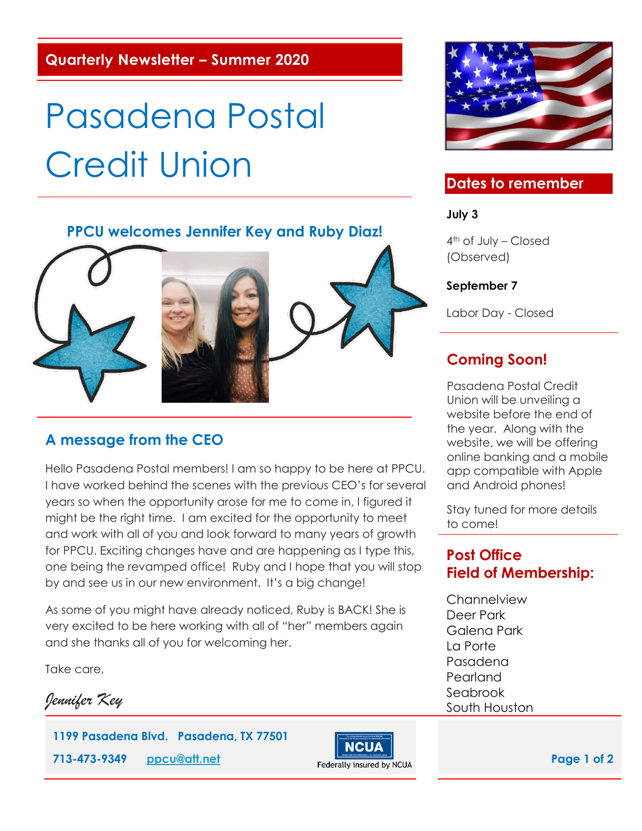**Quarterly Newsletter – Summer 2020**

# Pasadena Postal Credit Union

#### **PPCU welcomes Jennifer Key and Ruby Diaz!**



 $\overline{a}$ 





Hello Pasadena Postal members! I am so happy to be here at PPCU. I have worked behind the scenes with the previous CEO's for several years so when the opportunity arose for me to come in, I figured it might be the right time. I am excited for the opportunity to meet and work with all of you and look forward to many years of growth for PPCU. Exciting changes have and are happening as I type this, one being the revamped office! Ruby and I hope that you will stop by and see us in our new environment. It's a big change!

As some of you might have already noticed, Ruby is BACK! She is very excited to be here working with all of "her" members again and she thanks all of you for welcoming her.

Take care,

*Jennifer Key* 

**1199 Pasadena Blvd. Pasadena, TX 77501 713-473-9349 [ppcu@att.net](mailto:ppcu@att.net)**<br> **Page 1 of 2 Page 1 of 2** 





## **Dates to remember**

**July 3**

4th of July – Closed (Observed)

#### **September 7**

Labor Day - Closed

# **Coming Soon!**

Pasadena Postal Credit Union will be unveiling a website before the end of the year. Along with the website, we will be offering online banking and a mobile app compatible with Apple and Android phones!

Stay tuned for more details to come!

#### **Post Office Field of Membership:**

**Channelview** Deer Park Galena Park La Porte Pasadena Pearland Seabrook South Houston